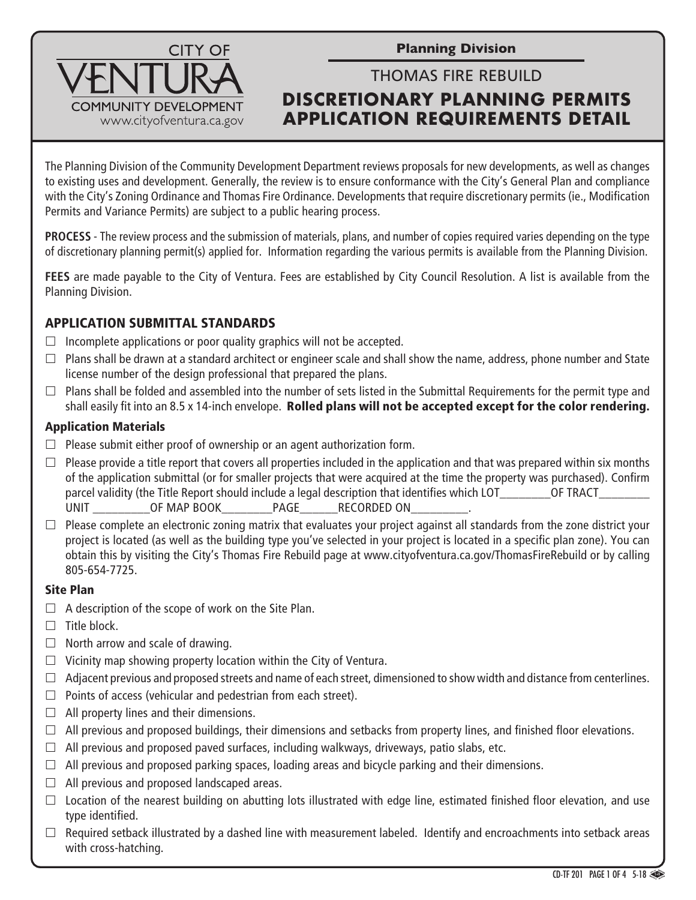**Planning Division**

# THOMAS FIRE REBUILD **DISCRETIONARY PLANNING PERMITS APPLICATION REQUIREMENTS DETAIL**

The Planning Division of the Community Development Department reviews proposals for new developments, as well as changes to existing uses and development. Generally, the review is to ensure conformance with the City's General Plan and compliance with the City's Zoning Ordinance and Thomas Fire Ordinance. Developments that require discretionary permits (ie., Modification Permits and Variance Permits) are subject to a public hearing process.

**PROCESS** - The review process and the submission of materials, plans, and number of copies required varies depending on the type of discretionary planning permit(s) applied for. Information regarding the various permits is available from the Planning Division.

**FEES** are made payable to the City of Ventura. Fees are established by City Council Resolution. A list is available from the Planning Division.

## APPLICATION SUBMITTAL STANDARDS

**COMMUNITY DEVELOPMENT** www.cityofventura.ca.gov

 $\Box$  Incomplete applications or poor quality graphics will not be accepted.

**CITY OF** 

- $\Box$  Plans shall be drawn at a standard architect or engineer scale and shall show the name, address, phone number and State license number of the design professional that prepared the plans.
- $\Box$  Plans shall be folded and assembled into the number of sets listed in the Submittal Requirements for the permit type and shall easily fit into an 8.5 x 14-inch envelope. Rolled plans will not be accepted except for the color rendering.

## Application Materials

- $\Box$  Please submit either proof of ownership or an agent authorization form.
- $\Box$  Please provide a title report that covers all properties included in the application and that was prepared within six months of the application submittal (or for smaller projects that were acquired at the time the property was purchased). Confirm parcel validity (the Title Report should include a legal description that identifies which LOT TRACT UNIT THE OF MAP BOOK THAGE THE RECORDED ON
- $\Box$  Please complete an electronic zoning matrix that evaluates your project against all standards from the zone district your project is located (as well as the building type you've selected in your project is located in a specific plan zone). You can obtain this by visiting the City's Thomas Fire Rebuild page at www.cityofventura.ca.gov/ThomasFireRebuild or by calling 805-654-7725.

## Site Plan

- $\Box$  A description of the scope of work on the Site Plan.
- $\Box$  Title block.
- $\Box$  North arrow and scale of drawing.
- $\Box$  Vicinity map showing property location within the City of Ventura.
- $\Box$  Adjacent previous and proposed streets and name of each street, dimensioned to show width and distance from centerlines.
- $\Box$  Points of access (vehicular and pedestrian from each street).
- $\Box$  All property lines and their dimensions.
- $\Box$  All previous and proposed buildings, their dimensions and setbacks from property lines, and finished floor elevations.
- $\Box$  All previous and proposed paved surfaces, including walkways, driveways, patio slabs, etc.
- $\Box$  All previous and proposed parking spaces, loading areas and bicycle parking and their dimensions.
- $\Box$  All previous and proposed landscaped areas.
- $\Box$  Location of the nearest building on abutting lots illustrated with edge line, estimated finished floor elevation, and use type identified.
- $\Box$  Required setback illustrated by a dashed line with measurement labeled. Identify and encroachments into setback areas with cross-hatching.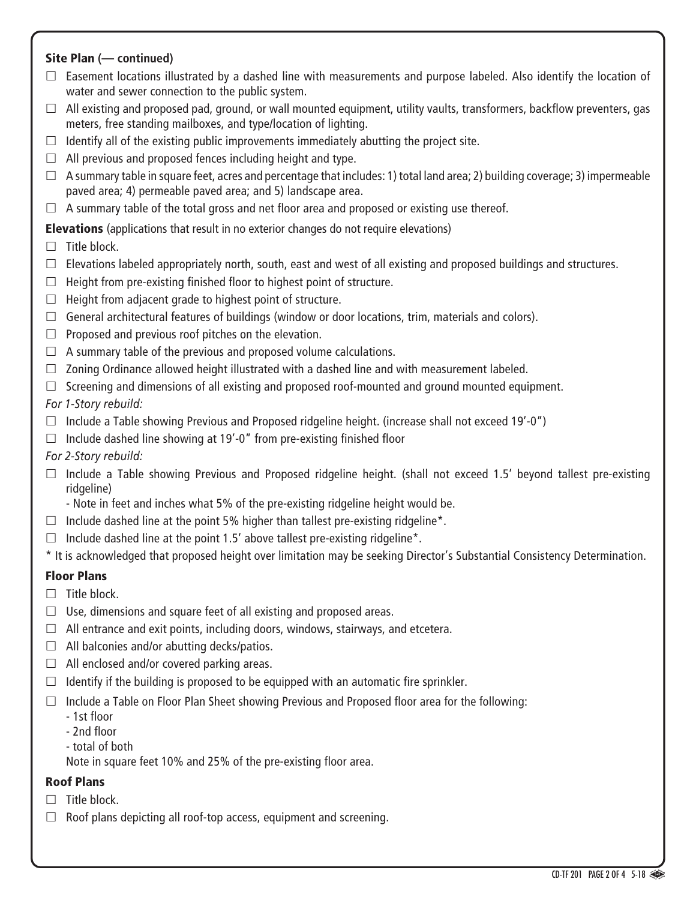### Site Plan **(— continued)**

- $\Box$  Easement locations illustrated by a dashed line with measurements and purpose labeled. Also identify the location of water and sewer connection to the public system.
- $\Box$  All existing and proposed pad, ground, or wall mounted equipment, utility vaults, transformers, backflow preventers, gas meters, free standing mailboxes, and type/location of lighting.
- $\Box$  Identify all of the existing public improvements immediately abutting the project site.
- $\Box$  All previous and proposed fences including height and type.
- $\Box$  A summary table in square feet, acres and percentage that includes: 1) total land area; 2) building coverage; 3) impermeable paved area; 4) permeable paved area; and 5) landscape area.
- $\Box$  A summary table of the total gross and net floor area and proposed or existing use thereof.

Elevations (applications that result in no exterior changes do not require elevations)

### $\Box$  Title block.

- $\Box$  Elevations labeled appropriately north, south, east and west of all existing and proposed buildings and structures.
- $\Box$  Height from pre-existing finished floor to highest point of structure.
- $\Box$  Height from adjacent grade to highest point of structure.
- $\Box$  General architectural features of buildings (window or door locations, trim, materials and colors).
- $\Box$  Proposed and previous roof pitches on the elevation.
- $\Box$  A summary table of the previous and proposed volume calculations.
- $\Box$  Zoning Ordinance allowed height illustrated with a dashed line and with measurement labeled.
- $\Box$  Screening and dimensions of all existing and proposed roof-mounted and ground mounted equipment.

### *For 1-Story rebuild:*

- $\Box$  Include a Table showing Previous and Proposed ridgeline height. (increase shall not exceed 19'-0")
- $\Box$  Include dashed line showing at 19'-0" from pre-existing finished floor
- *For 2-Story rebuild:*
- $\Box$  Include a Table showing Previous and Proposed ridgeline height. (shall not exceed 1.5' beyond tallest pre-existing ridgeline)
	- Note in feet and inches what 5% of the pre-existing ridgeline height would be.
- $\Box$  Include dashed line at the point 5% higher than tallest pre-existing ridgeline\*.
- $\Box$  Include dashed line at the point 1.5' above tallest pre-existing ridgeline\*.
- \* It is acknowledged that proposed height over limitation may be seeking Director's Substantial Consistency Determination.

## Floor Plans

- $\Box$  Title block.
- $\Box$  Use, dimensions and square feet of all existing and proposed areas.
- $\Box$  All entrance and exit points, including doors, windows, stairways, and etcetera.
- $\Box$  All balconies and/or abutting decks/patios.
- $\Box$  All enclosed and/or covered parking areas.
- $\Box$  Identify if the building is proposed to be equipped with an automatic fire sprinkler.
- $\Box$  Include a Table on Floor Plan Sheet showing Previous and Proposed floor area for the following:
	- 1st floor
	- 2nd floor
	- total of both

Note in square feet 10% and 25% of the pre-existing floor area.

## Roof Plans

- $\Box$  Title block.
- $\Box$  Roof plans depicting all roof-top access, equipment and screening.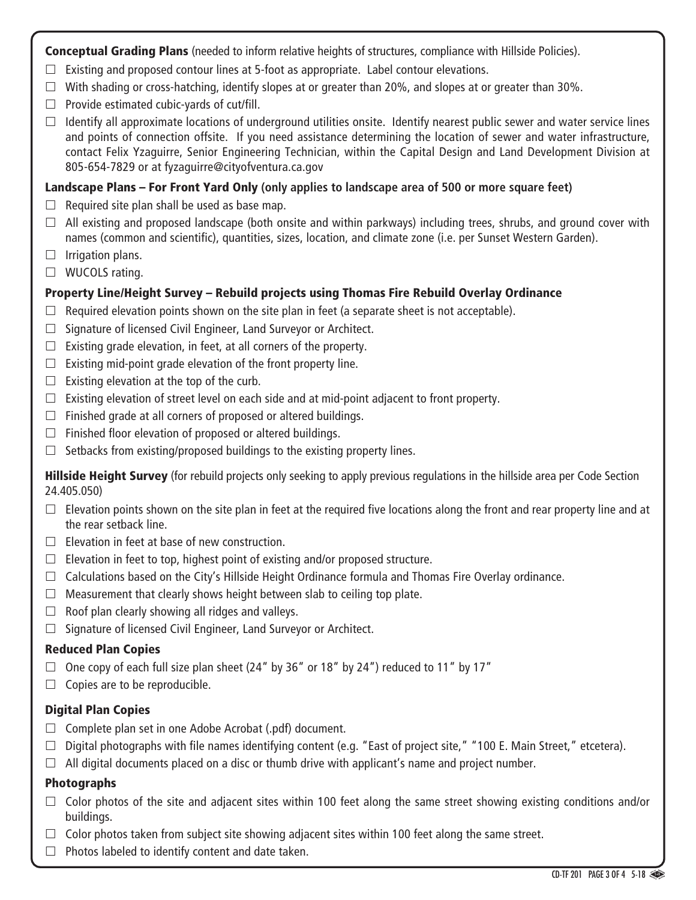Conceptual Grading Plans (needed to inform relative heights of structures, compliance with Hillside Policies).

- $\Box$  Existing and proposed contour lines at 5-foot as appropriate. Label contour elevations.
- $\Box$  With shading or cross-hatching, identify slopes at or greater than 20%, and slopes at or greater than 30%.
- $\Box$  Provide estimated cubic-yards of cut/fill.
- $\Box$  Identify all approximate locations of underground utilities onsite. Identify nearest public sewer and water service lines and points of connection offsite. If you need assistance determining the location of sewer and water infrastructure, contact Felix Yzaguirre, Senior Engineering Technician, within the Capital Design and Land Development Division at 805-654-7829 or at fyzaguirre@cityofventura.ca.gov

#### Landscape Plans – For Front Yard Only **(only applies to landscape area of 500 or more square feet)**

- $\Box$  Required site plan shall be used as base map.
- $\Box$  All existing and proposed landscape (both onsite and within parkways) including trees, shrubs, and ground cover with names (common and scientific), quantities, sizes, location, and climate zone (i.e. per Sunset Western Garden).
- $\Box$  Irrigation plans.
- $\Box$  WUCOLS rating.

#### Property Line/Height Survey – Rebuild projects using Thomas Fire Rebuild Overlay Ordinance

- $\Box$  Required elevation points shown on the site plan in feet (a separate sheet is not acceptable).
- $\Box$  Signature of licensed Civil Engineer, Land Surveyor or Architect.
- $\Box$  Existing grade elevation, in feet, at all corners of the property.
- $\Box$  Existing mid-point grade elevation of the front property line.
- $\Box$  Existing elevation at the top of the curb.
- $\Box$  Existing elevation of street level on each side and at mid-point adjacent to front property.
- $\Box$  Finished grade at all corners of proposed or altered buildings.
- $\Box$  Finished floor elevation of proposed or altered buildings.
- $\Box$  Setbacks from existing/proposed buildings to the existing property lines.

**Hillside Height Survey** (for rebuild projects only seeking to apply previous regulations in the hillside area per Code Section 24.405.050)

- $\Box$  Elevation points shown on the site plan in feet at the required five locations along the front and rear property line and at the rear setback line.
- $\Box$  Elevation in feet at base of new construction.
- $\Box$  Elevation in feet to top, highest point of existing and/or proposed structure.
- $\Box$  Calculations based on the City's Hillside Height Ordinance formula and Thomas Fire Overlay ordinance.
- $\Box$  Measurement that clearly shows height between slab to ceiling top plate.
- $\Box$  Roof plan clearly showing all ridges and valleys.
- $\Box$  Signature of licensed Civil Engineer, Land Surveyor or Architect.

#### Reduced Plan Copies

- $\Box$  One copy of each full size plan sheet (24" by 36" or 18" by 24") reduced to 11" by 17"
- $\Box$  Copies are to be reproducible.

#### Digital Plan Copies

- $\Box$  Complete plan set in one Adobe Acrobat (.pdf) document.
- $\Box$  Digital photographs with file names identifying content (e.g. "East of project site," "100 E. Main Street," etcetera).
- $\Box$  All digital documents placed on a disc or thumb drive with applicant's name and project number.

#### Photographs

- $\Box$  Color photos of the site and adjacent sites within 100 feet along the same street showing existing conditions and/or buildings.
- $\Box$  Color photos taken from subject site showing adjacent sites within 100 feet along the same street.
- $\Box$  Photos labeled to identify content and date taken.